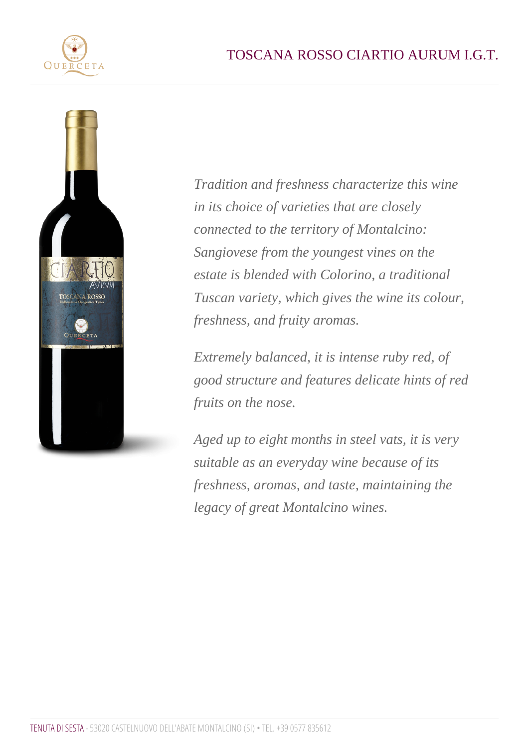Tradition and freshness characterize this wine in its choice of varieties that are closely connected to the territory of Montalcino: Sangiovese from the youngest vines on the estate is blended with Colorino, a traditional Tuscan variety, which gives the wine its colour, freshness, and fruity aromas.

Extremely balanced, it is intense ruby red, of good structure and features delicate hints of red fruits on the nose.

Aged up to eight months in steel vats, it is very suitable as an everyday wine because of its freshness, aromas, and taste, maintaining the legacy of great Montalcino wines.